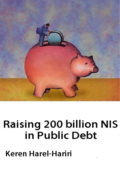

# **Raising 200 billion NIS** in Public Debt

**Keren Harel-Hariri**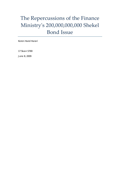# The Repercussions of the Finance Ministryʹs 200,000,000,000 Shekel Bond Issue

Keren Harel Harari

17 Sivan 5769

June 8, 2009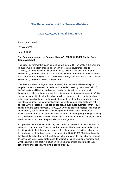## **The Repercussions of the Finance Ministryʹs**

### **200,000,000,000 Shekel Bond Issue**

Keren Harel Harari

17 Sivan 5769

June 8, 2009

#### **The Repercussions of the Finance Ministry's 200,000,000,000 Shekel Bond Issue (Abstract)**

The Israeli government is planning to raise two hundred billion shekels this year and in 2010 (hundred billion shekels each year) by issuing government bonds. 140,000,000,000 shekels of this amount will be raised in the local market and 60,000,000,000 shekels will be raised abroad. Some of the amounts are intended to roll over debt from the years 2002-2003 whose repayment date has arrived, however 80,000,000,000 shekels constitute new debt.

The risks and shortcomings include the reality that the debts will effectively be recycled rather than retired; fresh debt will be added meaning that a new debt of 28,500 shekels will be imposed on each and every Israeli citizen; the relation between the debt and Israel's gross domestic product that already today totals 78%, one of the highest in the developed world will be aggravated; the rise in the above ratio can jeopardize Israel's adhesion to the countries of the European Union, who are obligated under the Maastricht Accord to maintain a debt ratio that does not exceed 60%; the raising of this capital can crowd out private businesses that require capital from the same markets (140,000,000,000 shekels will be raised local market); such a reality can raise the cost of capital (higher interest rates) and lead to bankruptcies in the Israeli economy; likewise, questions emerge regarding expanding the government at the expense of the private economy and the need for higher future taxes; all these can cloud the possibility for future growth.

It is possible that the Finance Ministry has conducted research before it decided to raise such high amounts. We assume that one should examine these studies or at least investigate the following questions before the measure is ratified: what will be the implications of the bond issue in the amount of 200,000,000,000 shekels on the local capital market, how will the relationship between debt to GNP change, how will this influence Israel's credit rating and its attempt to join international markets, and what occurred in the past in a situation when other countries attempted to raise similar amounts, especially during a period of crisis.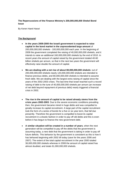#### **The Repercussions of the Finance Ministry's 200,000,000,000 Shekel Bond Issue**

By Keren Harel Harari

#### **The Background**:

- **In the years 2009-2000 the Israeli government is expected to raise capital in the bond market in the unprecedented large amount** of 200,000,000,000 shekels - 100,000,000,000 each year. In the beginning of 2009 the government completed the raising of 40,000,000,000 shekels, and it intends to raise an additional 160,000,000,000 shekels by the end of 2010. In recent years the amount of capital raised by the government totaled 40-60 billion shekels per annum, so that in the next two years the government will effectively raise double the amount of capital.
- **We are dealing with a net rise of about 80,000,000,000 shekels**: out of 200,000,000,000 shekels nearly 120,000,000,000 shekels are intended to finance previous debts, and 80,000,000,000 shekels is intended to assume fresh debt. We are dealing with the largest extra raising of capital since the years of the 2002-2003 crises. The last time that Israel reached such a record raising of debt to the tune of 40,000,000,000 shekels per annum (an increase of net debt beyond repayment of previous debt) nearly triggered a financial crisis in 2002.
- **The rise in the amount of capital to be raised already stems from the crisis years 2002-2003**. Due to the severe economic conditions prevailing then, the government became mired in huge debts and was compelled to greatly increase its capital recruitment. A large part of the capital recruitment took the form of a series of bonds for a five or six year term, that fall due presently. Therefore the government is compelled to boost its capital recruitment in a drastic fashion in order to pay off old debts and this is even before it has begun to finance the new government debt.
- **A similar situation will be created in a number of years**, when the next generation will be compelled to pay off the debts that the government is assuming today, a new debt that the government is taking in order to pay off future deficits. This behavior by the government is consistent as this is how it has behaved beginning with 2002 till today (save for the years 2006 and 2007). The extent of the total capital recruitment in the year 2000 totaled 36,000,000,000 shekels whereas in 2008 the amount of capital raised has almost doubled, and totals 61,000,000,000 shekels.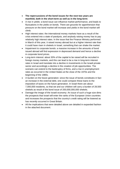- **The repercussions of the bond issues for the next two years are manifold, both in the short-term as well as in the long-term:**
- A rise in yields: a bond issue can influence market performance, and leads to fluctuations in the yields on bonds. There are grounds for apprehension that pressure on the bond market will increase and yields in the bond market will climb.
- High interest rates: the international money markets have as a result of the crisis entered into a state of paralysis, and anybody raising money has to pay relatively high interest rates. In the issue that the Finance Ministry performed in March of this year, it raised money abroad but at a higher interest rate than it could have risen in shekels in Israel, something that can shake the market.
- Impairment to corporate bonds: a massive increase in the amounts of bond issued abroad will find expression in depressed demand and hence a decline in corporate bond prices.
- Long-term interest: about 30% of the capital to be raised will be recruited in foreign money markets, and this can lead to be a rise in long-term interest rates in Israel and translate into a decline in investments in the Israeli private sector and accordingly a decline in the creation of job opportunities. The scenario can extend to the bankruptcy of firms, and a rise in unemployment rates as occurred in the United States at the close of the 1970s and the beginning of the 1980s.
- A burden on the future generation: since the issue of bonds constitutes in fact an increase in the external debt, one could compare these loans to the imposition of taxes on the future generation. In Israel there are about 7,000,000 residents, so that we and our children will carry a burden of 28,500 shekels as result of the bond issue of 200,000,000,000 shekels.
- Damage the image of the Israeli economy: An issue of such a huge size dims the prospects that Israel will enter the ranks of the European Union countries and increases the prospects that the country's credit rating will be lowered as has recently occurred in Great Britain.
- All the implications that were detailed above are detailed in expanded fashion in the attached document.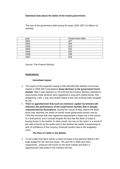#### **Statistical data about the debts of the Israeli government:**

The size of the government debt during the years 2001-2007 (in billions of shekels)

| vear | Government debt |
|------|-----------------|
| 2001 | 447             |
| 2002 | 504             |
| 2003 | 523             |
| 2004 | 541             |
| 2005 | 553             |
| 2006 | 538             |
| 2007 | 524             |

Source: The Finance Ministry

#### **Implications:**

#### **Immediate impact**

- The report on the expected raising of 200,000,000,000 shekels in the bond market in 2009-2007 precipitated **sharp declines in the government bond market.** After it was reported on 19.5.09 that the Finance Ministry intended to issue bonds sharp declines were registered in long-term shekel bonds, that dropped by 2.8%. Long -term bonds linked to the cost-of-living index dropped by 2%.
- **There is apprehension that such an extensive capital recruitment will influence the performance of the Israeli bond markets that is already characterized by fluctuations**. During the course of May, before the bond issue was reported, the yields on bonds Israel government bonds rose by 0.5%-the increase that was registered represented a sharp rise in the course of a brief period, and it ensued despite the fact that the Bank of Israel is buying bonds in the market. In other words, the rise on the return is a result of the sale of bonds by the public-and in this fashion the public is expressing its lack of confidence in the country's financial conduct due to the budgetary crisis.

#### **The Rise of Yields in the Market**

 To the extent that there will be a sharp increase in the planned deficit in the state budget for the next two years - 6% and 5% in 2009 and 2010 respectively - pressure will mount on the bond market and there is apprehension that yields in the markets will rise.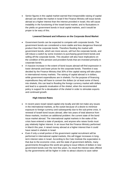Senior figures in the capital market warned that irresponsible raising of capital abroad can shake the market in Israel if the Finance Ministry will issue bonds abroad at a higher interest than the interest provided in Israel, this will cause instability in the functioning of the Israeli bond market, and to fluctuations in the yields on government bonds in local capital markets, and it would be proper to be wary of this.

#### **Lowered Demand and Influence on the Corporate Bond Market**

- Government bonds can be expected to compete with corporate bonds. The government bonds are considered a more stable and less dangerous financial product than the corporate bonds. Therefore flooding the market with government bonds, which are more secure, will hurt the corporate bonds, and will induce a switch by some investors to purchasing government bonds and selling off the corporate bonds. This situation will also have implications on the condition of the pension and provident funds that are invested primarily in corporate bonds.
- A massive increase in the extent of bond issues abroad will find expression in lower demands and lower prices for the corporate bonds. Therefore it was decided by the Finance Ministry that 30% of the capital raising will take place in international money markets. The raising of capital abroad is in dollars, while government expenditures are in shekels. For the purpose of financing expenditures they will have to convert the dollars (or at least some of them) into shekels, this can lead to flooding the foreign currency market with dollars and lead to a upwards revaluation of the shekel, when the recommended policy is support for a devaluation of the shekel in order to stimulate exports and continued growth.

#### **High Interest Rates**

- In recent years Israel raised capital only locally and did not make any issues in the international markets, at the outset because of a desire to minimize exposure to foreign currency and subsequently due to the sub-prime crisis. A renewal of Israeli bond issues abroad, after two years of total absence from these markets, involves an additional problem: the current state of the bond issue market abroad. The international capital markets in the wake of the crisis have entered a state of paralysis, and anyone who raises funds must pay relatively higher interest. In an issue that the Finance Ministry performed in March this year, it raised money abroad at a higher interest than it could have raised in shekels in Israel.
- Even if only a small portion of the government capital recruitment will be performed in international capital markets, this will trigger increases in longterm interest rates in Israel. According to the Cato Institute the expectation is that due to the economic crisis, and the state of government deficits, many governments throughout the world are going to issue trillions of dollars in new government bonds over the next few years. As result the interest rates offered by the governments will be higher in order to attract citizens to save rather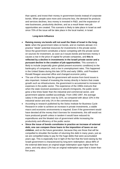than spend, and invest their money in government bonds instead of corporate bonds. When people save more and consume less, the demand for products and services declines, less money is invested in R&D, and the expansion of new businesses, productivity declines, and as a result fewer new job opportunities are created. This scenario is likely to take place in Israel as well since 70% of the issue will be take place in the local market, in Israel.

#### **Long-term Influence**

- **Raising money via bonds will not avail the State of Israel in the longterm**: when the government relies on bonds, and on markets abroad, it in practice "steals" potential resources for investments in the private sector. Since the government constitutes a factor competing with the private sector on sources for investment, as soon as it issues bonds and borrows money it causes a rise in the price of capital for private companies, and **this is reflected by a decline in investments in the Israeli private sector and a pursuant decline in the creation of job opportunities**. This scenario is likely to include (especially given global present economic conditions) to the bankruptcy of companies, and a rise in unemployment rates. This happened in the United States during this late 1970s and early 1980s, until President Ronald Reagan assumed office and changed economic policy.
- The use of the money that the government will receive from bond issues is also important. Instead of investing the money directly in factors that create growth such as infrastructures, the government is accustomed to increase its expenses in the public sector. The experience of the 1990s instructs that when the state received assistance to absorb immigrants, the public sector grew a few times faster than the industrial and commercial sector, and government salaries swelled accordingly. From 1992-1997, the average salary in the public sector rose by 21%, as compared with about 10% in the industrial sector and only 1% in the commercial sector.
- According to research published by the Swiss Institute for Business Cycle Research-in order to achieve an increase in private investments, a stable macro and economic environments is required. Even if the government would have devoted all the money that it borrows for investments, this still would not have produced growth unless in tandem it would have reduced its expenditures and the bloated size of government while increasing the productivity and efficiency of the public sector.
- **Since the issue of bonds constitutes in practice an increase of external debt, one can compare these loans to the imposition of taxes on our children**, and on the future generation, because they are those that will be compelled to shoulder the burden of returning this debt in many years, just as we are compelled today to pay for the huge debts that were accumulated years ago. This is especially true in light of the fact that the fund-raising by the Israeli government is characterized by long-term redemption: about 88% of the external debt bears an original target redemption span higher than five years, and only about 12% has an original redemption span that is lower than five years.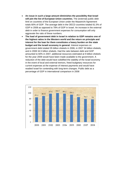- **An issue in such a large amount diminishes the possibility that Israel will join the list of European Union countries.** The (external) public debt limit on countries of the European Union under the Maastricht Agreement totals 60% of GDP. The average debt in the OECD countries totaled 61.5% of GDP in 2008 as opposed to 78% of GDP in Israel. An increase in the external debt in order to finance government expenses for consumption will only aggravate the ratio of these numbers.
- **The load of government debt in Israel in relation to GDP remains one of the highest ratios in the Western world and the return on principle and interest for the loan for them constitutes a heavy burden on the state budget and the Israeli economy in general**. Interest expenses on government debt totaled 35 billion shekels in 2006, in 2007 34 billion shekels, and in 2008 34.5 billion shekels. Had the ratio between debt and GDP amounted to 60% in 2007, additional resources estimated at 9 billion shekels for the year 2009 would have been made available to the government. A reduction of the debt would have solidified the stability of the Israel economy in the event of local and external tremors, freed budgetary resources for current expenses at the expense of interest payments and would have readied Israel for contending with long-term changes. Public debt as a percentage of GDP in international comparison in 2008

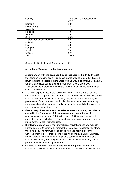| Country                    | Total debt as a percentage of<br><b>GDP</b> |
|----------------------------|---------------------------------------------|
| Romania                    | 13.6                                        |
| Luxembourg                 | 14.7                                        |
| Slovenia                   | 22.8                                        |
| Finland's                  | 33.4                                        |
| Sweden                     | 38                                          |
| Spain                      | 39.5                                        |
| Average for OECD countries | 58                                          |
| Holland                    | 58.2                                        |
| France                     | 68                                          |
| Hungary                    | 73                                          |
| Israel                     | 78                                          |
| Greece                     | 97.6                                        |
| Italy                      | 105.8                                       |

Source: the Bank of Israel, Eurostat press office

#### **Advantages/Response to the Apprehensions:**

- **A comparison with the peak bond issue that occurred in 2002**: In 2002 the return on Shahar class shekel bonds skyrocketed to a record of 12.5%-a return that reflected fears that the State of Israel would go bankrupt. However, today Shahar class bonds are being traded with a yield of 5-5.2%. Additionally, the interest charged by the Bank of Israel is far lower than that which prevailed in 2002.
- The major expected rise in the government bond offerings in the next two years reinforces apprehension regarding a rise in bond yields. However, there is no certainty that the yields will actually rise, because one of the singular phenomena of the current economic crisis is that investors are barricading themselves behind government bonds, in the belief that this is the sole asset that remains a secure investment.
- **If necessary, the government can raise some of the money that it lacks abroad in the framework of the remaining loan guarantees** of the American government from 2003, in the sum of \$3.8 billion. The use of the guarantee monies will allow the Finance Ministry to raise money abroad at a much lower cost than market prices.
- **Displaying a presence in the international capital and money markets**. For the past 2 1/2 years the government of Israel totally absented itself from these markets. The renewed bond issues will once again expose the Government of Israel to those active in the world capital markets. Likewise, the fluctuations in the margins of negotiable bonds provide an up to date indicator on the way that foreign investors view the Israeli economy and the performance by the Israeli government.
- **Creating a benchmark for issues by Israeli companies abroad**: the interests that will be set in the government bond issue will allow international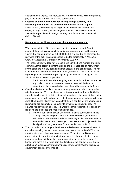capital markets to price the interests that Israeli companies will be required to pay in the future if they wish to issue bonds abroad.

 **Creating an additional source for raising foreign currency thus increasing flexibility in the choice of sources for raising capital**. Likewise, the government by raising funds in the financial markets that employ foreign currency allows the government to use these monies to finance its expenditures in foreign currency, and finance the commercial deficit of Israel.

#### $\bullet$

#### **Response by the Finance Ministry, the Accountant General:**

"The expected size of the government deficit was not a secret. True the extent of the most sizable capital recruitment was unknown and these are figures that sound frightening-200,000,000,000 shekels-but as aforesaid the recycling of the debt was not expected to be too problematic." Yehoshua Oren, the Accountant General in *The Marker* 20.5 .09

- The Finance Ministry does not foresee a crisis in the bond market, and in its estimate a large part of the information on the increased capital recruitment by the state has a ready been taken into account in the bond prices. The rise in interest that occurred in the recent period, reflects the market expectation regarding the increased raising of capital by the Finance Ministry, and an additional rise in interest is possible.
	- o The Finance Ministry is attempting to assume that it does not foresee any crisis in the bond market but does not conceal the fact that interest rates have already risen, and they will rise also in the future.
- One should refer primarily to the extent that government debt is being raised – in the amount of 80 billion shekels over two years rather than to 200 billion shekels, in other words only to net capital recruitment the amount that capital recruitment increased, and not merely to the replacement of old debt with new debt. The Finance Ministry estimates that the old bonds that are approaching redemption are generally rolled over into investments in new bonds. The Finance Ministry is getting ready to handle the large redemption of bonds, by replacing the old series of bonds with new series.
	- o The new debt issue as well of 80 billion shekels contradicts Finance Ministry policy in the years 2006 and 2007 where the government reduced the debt and declared that "reducing public debt in Israel to a level similar to the OECD average constitutes a major objective in the fiscal policy of the government for the median term -- 2015."
- The comparison with the year 2002: we are dealing with a net recruitment of capital resembling that which we have already witnessed in 2002-2003, but then the state was close to a economic crisis. Today the conditions are easier: interest is low; the yields that rose sharply, already reflect to a large extent market expectations that they are about to increase the supply of bonds; and there is a tailwind from the direction of the Bank of Israel that is adopting an expansionary monetary policy, in whose framework it is buying government bonds on the market.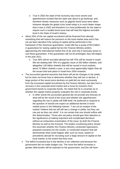- o True in 2002 the state of the economy was more severe and apprehension existed that the state was about to go bankrupt, and therefore drastic measures such as gigantic bond issue were taken. However despite the global crisis Israel today is in much better shape than it was in 2002 and therefore it is most problematic for the state to require such a sizable bond issue that will total the highest recorded level in the State of Israel's history.
- About 30% of the net capital recruitment will be financed from abroad, something that will reduce the pressure on the local market area and it has not yet been decided if the raising of capital will be performed in the framework of the American guarantees. Israel still has a quota of \$3.8 billion in guarantees for raising capital hat but the Finance Ministry prefers approaching the international market first of all, and only if necessity arises to use these guarantees. If the guarantees will not be prolonged, they will elapse in the year 2011.
	- o True 30% will be recruited abroad but still 70% will be issued in Israel. We are dealing with 70% of a gigantic issue of 200 billion shekels, and altogether 140 billion shekels that will be issued in local markets, about 70 billion shekels a year, a sum most appreciably higher than all the issues that took place in Israel from 2004 onwards.
- The accountant general assumes that there will yet be changes in the yields, but he does not know how to determine whether they will rise or decline. A large portion of the recent price declines on yield did not stem exclusively from the increased capital recruitment by the Finance Ministry, but also from a recovery in the corporate bond market and a move by investors from government bonds to corporate bonds. He noted that he is uncertain as to whether the capital market properly evaluates the risk in corporate bonds.
	- o In other words the accountant general did not provide any forecast on what will be the result of the issue and whether the apprehension regarding the rise in yields will fulfill itself. He preferred to respond to the question of should one expect an additional decline in bond market prices in the following manner: "I am not an analyst of the market I believe that we will still see a change in yields, but they can rise just as they can climb". It is not certain that one should suffice with this determination. Those who set policy should give their attention to the significance of making important and complicated decisions without an exhaustive examination of the issue, by both the Finance Ministry as well as the Knesset. The bodies scrutinizing policy should first ascertain whether the Finance Ministry conducted regressions, prepared scenarios for the results, or conducted research that will demonstrate what could happen after such an issue, based on precedents abroad for recruiting such a large amount of capital on the local market, to the extent that they exist.
- The deficit increased due to the decline in tax collection and because the government did not make budget cuts. The more the deficit increases a greater debt burden will be imposed on the government, and this will have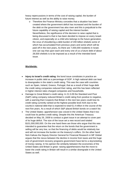heavy repercussions in terms of the cost of raising capital, the burden of future interest as well as the ability to raise money.

o Therefore the Finance Ministry concedes that a situation has been created where the government deficit has increased and the burden of the debt on the government has also risen and this is prejudicial to the future capability of raising capital and the interest burden. Nevertheless, the significance of the decision to raise capital that is being discussed is that is has been decided to impose on every Israeli citizen, and especially on a child who belongs to the future generation, the onus of shouldering a debt burden of 200 billion shekels some of which has accumulated from previous years and some which will be paid off in the next years**.** As there are 7,000,000 residents in Israel, one can say that upon each and every one of us a future debt of about 28,500 shekels is to be imposed as a result of the intended bond issue.

#### **Worldwide:**

- **Injury to Israel's credit rating**: the bond issue constitutes in practice an increase in public debt as a percentage of GDP. A high national debt can lead to downgrades in the state's credit rating. This was the case with countries such as Spain, Ireland, Greece, Portugal, that as a result of their huge debt the credit rating companies reduced their rating, and this has been reflected in higher interest rates charged companies and households.
- Damage to Great Britain's credit rating: In 21.5.09 the Standard and Poor (S&P) rating company reduced Britain's credit rating from positive to negative, with a warning that it expects that Britain in the next two years could lose its credit rating currently ranked at the highest possible level AAA due to the country's national debt that is expected to total €1.4 trillion in the course of the next five years. As a result of which S&P placed British bonds on a watch list.
- The United States: apprehension was voiced in the United States that it too could lose its perfect credit rating. Despite this the American Treasury decided on May 26, 2009 to conduct a giant issue in an attempt to cover part of its huge deficit. The size of the issue set a new record and totaled \$101,000,000,000. On the one hand there are those who argue that this was intended to guarantee that the return on the bonds that the government is selling will be very low, so that the financing of debts would be relatively low and will not increase the burden on the treasury's coffers. On the other hand Nick Kalivas the Deputy Director General for Financial Research in MF Global argues that the nexus between the decline in income from taxes and the huge size of government recovery programs government have led to a skyrocketing of money raising. In his opinion the similarity between the economies of the United States and Britain is great -raising apprehensions that the move to lower the credit rating in Britain will result in a similar downgrade in the United States as well.